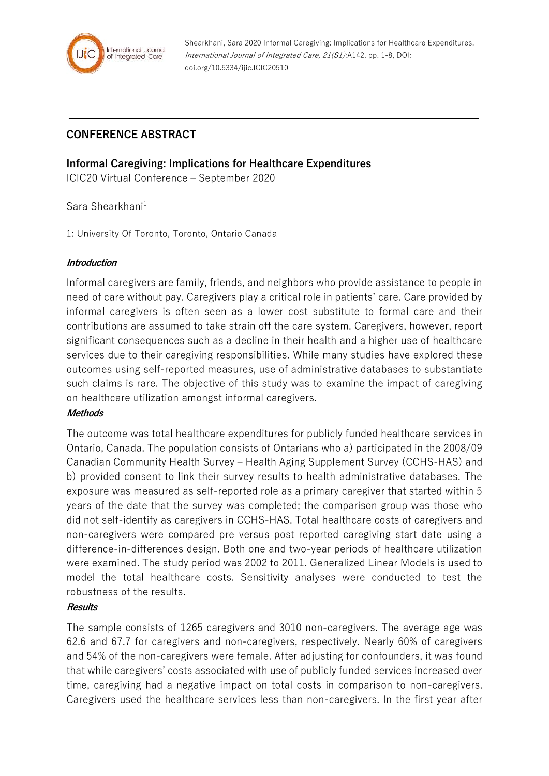

# **CONFERENCE ABSTRACT**

# **Informal Caregiving: Implications for Healthcare Expenditures**

ICIC20 Virtual Conference – September 2020

Sara Shearkhani<sup>1</sup>

1: University Of Toronto, Toronto, Ontario Canada

#### **Introduction**

Informal caregivers are family, friends, and neighbors who provide assistance to people in need of care without pay. Caregivers play a critical role in patients' care. Care provided by informal caregivers is often seen as a lower cost substitute to formal care and their contributions are assumed to take strain off the care system. Caregivers, however, report significant consequences such as a decline in their health and a higher use of healthcare services due to their caregiving responsibilities. While many studies have explored these outcomes using self-reported measures, use of administrative databases to substantiate such claims is rare. The objective of this study was to examine the impact of caregiving on healthcare utilization amongst informal caregivers.

# **Methods**

The outcome was total healthcare expenditures for publicly funded healthcare services in Ontario, Canada. The population consists of Ontarians who a) participated in the 2008/09 Canadian Community Health Survey – Health Aging Supplement Survey (CCHS-HAS) and b) provided consent to link their survey results to health administrative databases. The exposure was measured as self-reported role as a primary caregiver that started within 5 years of the date that the survey was completed; the comparison group was those who did not self-identify as caregivers in CCHS-HAS. Total healthcare costs of caregivers and non-caregivers were compared pre versus post reported caregiving start date using a difference-in-differences design. Both one and two-year periods of healthcare utilization were examined. The study period was 2002 to 2011. Generalized Linear Models is used to model the total healthcare costs. Sensitivity analyses were conducted to test the robustness of the results.

# **Results**

The sample consists of 1265 caregivers and 3010 non-caregivers. The average age was 62.6 and 67.7 for caregivers and non-caregivers, respectively. Nearly 60% of caregivers and 54% of the non-caregivers were female. After adjusting for confounders, it was found that while caregivers' costs associated with use of publicly funded services increased over time, caregiving had a negative impact on total costs in comparison to non-caregivers. Caregivers used the healthcare services less than non-caregivers. In the first year after